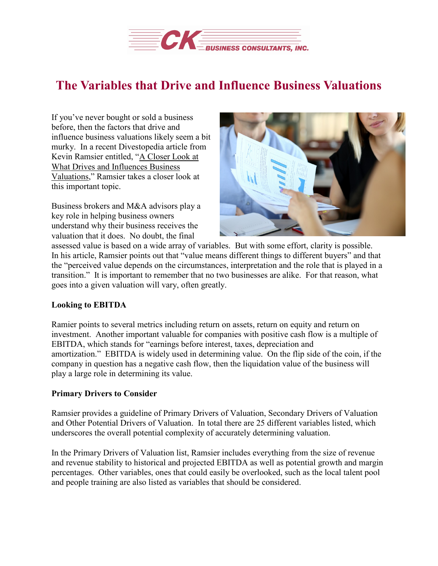

## **The Variables that Drive and Influence Business Valuations**

If you've never bought or sold a business before, then the factors that drive and influence business valuations likely seem a bit murky. In a recent Divestopedia article from Kevin Ramsier entitled, "A [Closer](https://www.divestopedia.com/2/6542/maximize-value/company-premium/a-closer-look-at-what-drives-and-influences-business-valuations) Look at What Drives and [Influences](https://www.divestopedia.com/2/6542/maximize-value/company-premium/a-closer-look-at-what-drives-and-influences-business-valuations) Business [Valuations,](https://www.divestopedia.com/2/6542/maximize-value/company-premium/a-closer-look-at-what-drives-and-influences-business-valuations)" Ramsier takes a closer look at this important topic.

Business brokers and M&A advisors play a key role in helping business owners understand why their business receives the valuation that it does. No doubt, the final



assessed value is based on a wide array of variables. But with some effort, clarity is possible. In his article, Ramsier points out that "value means different things to different buyers" and that the "perceived value depends on the circumstances, interpretation and the role that is played in a transition." It is important to remember that no two businesses are alike. For that reason, what goes into a given valuation will vary, often greatly.

## **Looking to EBITDA**

Ramier points to several metrics including return on assets, return on equity and return on investment. Another important valuable for companies with positive cash flow is a multiple of EBITDA, which stands for "earnings before interest, taxes, depreciation and amortization." EBITDA is widely used in determining value. On the flip side of the coin, if the company in question has a negative cash flow, then the liquidation value of the business will play a large role in determining its value.

## **Primary Drivers to Consider**

Ramsier provides a guideline of Primary Drivers of Valuation, Secondary Drivers of Valuation and Other Potential Drivers of Valuation. In total there are 25 different variables listed, which underscores the overall potential complexity of accurately determining valuation.

In the Primary Drivers of Valuation list, Ramsier includes everything from the size of revenue and revenue stability to historical and projected EBITDA as well as potential growth and margin percentages. Other variables, ones that could easily be overlooked, such as the local talent pool and people training are also listed as variables that should be considered.